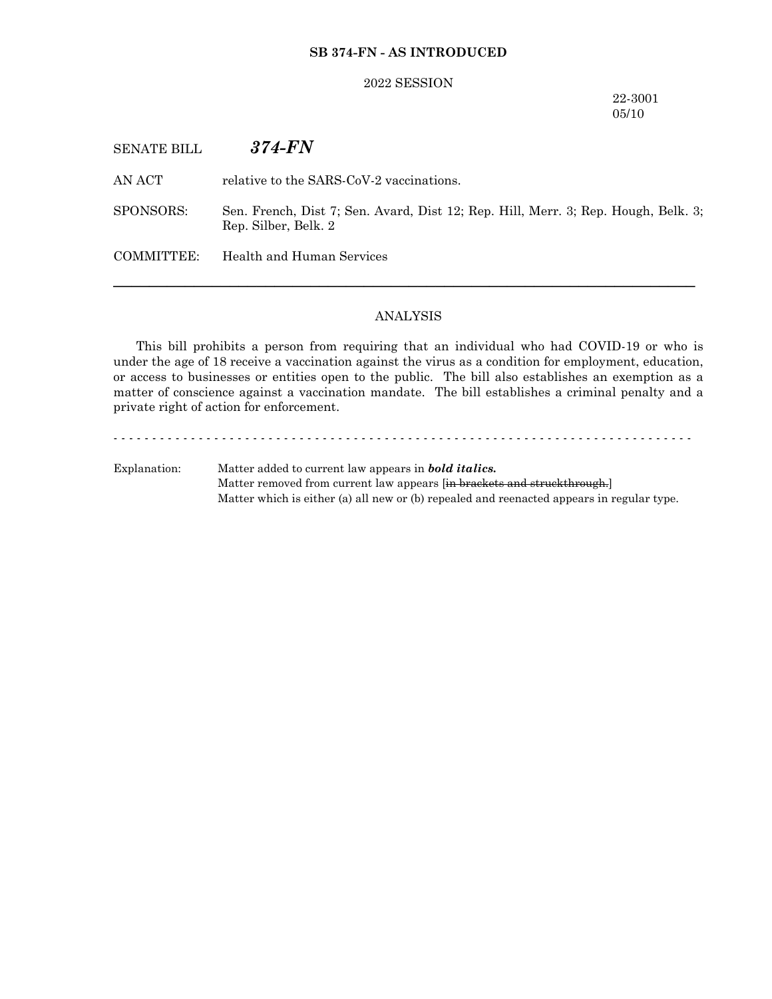### **SB 374-FN - AS INTRODUCED**

#### 2022 SESSION

## 22-3001 05/10

SENATE BILL *374-FN*

AN ACT relative to the SARS-CoV-2 vaccinations.

SPONSORS: Sen. French, Dist 7; Sen. Avard, Dist 12; Rep. Hill, Merr. 3; Rep. Hough, Belk. 3; Rep. Silber, Belk. 2

COMMITTEE: Health and Human Services

### ANALYSIS

─────────────────────────────────────────────────────────────────

This bill prohibits a person from requiring that an individual who had COVID-19 or who is under the age of 18 receive a vaccination against the virus as a condition for employment, education, or access to businesses or entities open to the public. The bill also establishes an exemption as a matter of conscience against a vaccination mandate. The bill establishes a criminal penalty and a private right of action for enforcement.

- - - - - - - - - - - - - - - - - - - - - - - - - - - - - - - - - - - - - - - - - - - - - - - - - - - - - - - - - - - - - - - - - - - - - - - - - - - Explanation: Matter added to current law appears in *bold italics.* Matter removed from current law appears [in brackets and struckthrough.] Matter which is either (a) all new or (b) repealed and reenacted appears in regular type.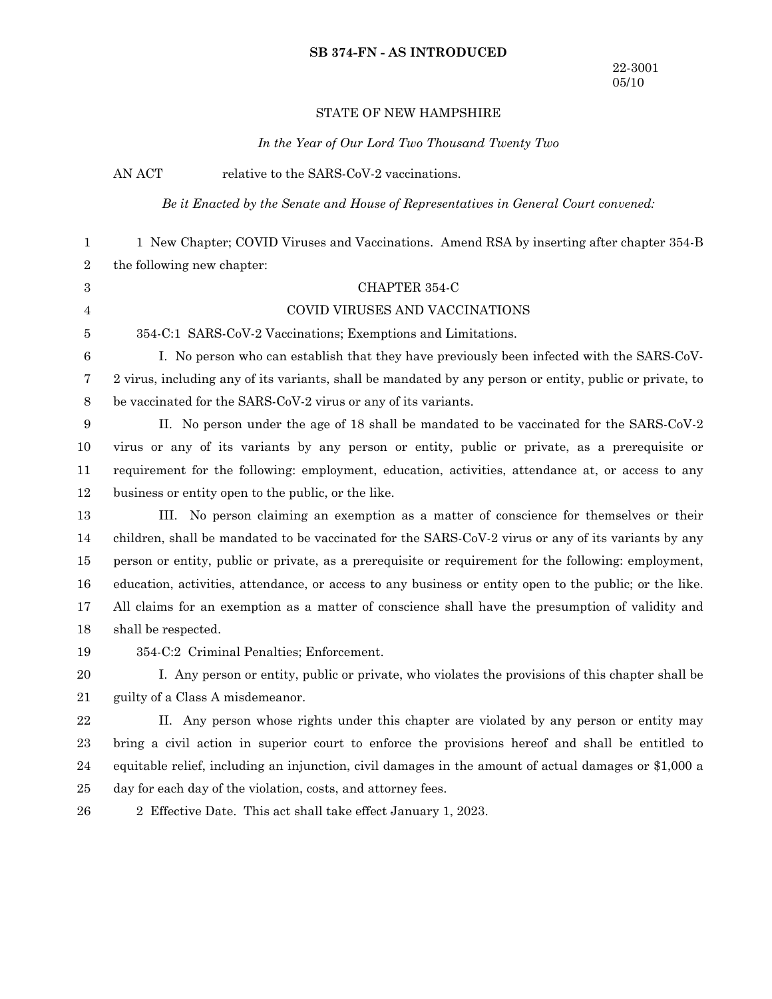## **SB 374-FN - AS INTRODUCED**

# STATE OF NEW HAMPSHIRE

*In the Year of Our Lord Two Thousand Twenty Two*

AN ACT relative to the SARS-CoV-2 vaccinations.

*Be it Enacted by the Senate and House of Representatives in General Court convened:*

| 1                | 1 New Chapter; COVID Viruses and Vaccinations. Amend RSA by inserting after chapter 354-B                |
|------------------|----------------------------------------------------------------------------------------------------------|
| 2                | the following new chapter:                                                                               |
| $\boldsymbol{3}$ | CHAPTER 354-C                                                                                            |
| 4                | COVID VIRUSES AND VACCINATIONS                                                                           |
| 5                | 354-C:1 SARS-CoV-2 Vaccinations; Exemptions and Limitations.                                             |
| 6                | I. No person who can establish that they have previously been infected with the SARS-CoV-                |
| 7                | 2 virus, including any of its variants, shall be mandated by any person or entity, public or private, to |
| 8                | be vaccinated for the SARS-CoV-2 virus or any of its variants.                                           |
| 9                | II. No person under the age of 18 shall be mandated to be vaccinated for the SARS-CoV-2                  |
| 10               | virus or any of its variants by any person or entity, public or private, as a prerequisite or            |
| 11               | requirement for the following: employment, education, activities, attendance at, or access to any        |
| 12               | business or entity open to the public, or the like.                                                      |
| 13               | III. No person claiming an exemption as a matter of conscience for themselves or their                   |
| 14               | children, shall be mandated to be vaccinated for the SARS-CoV-2 virus or any of its variants by any      |
| 15               | person or entity, public or private, as a prerequisite or requirement for the following: employment,     |
| 16               | education, activities, attendance, or access to any business or entity open to the public; or the like.  |
| 17               | All claims for an exemption as a matter of conscience shall have the presumption of validity and         |
| 18               | shall be respected.                                                                                      |
| 19               | 354-C:2 Criminal Penalties; Enforcement.                                                                 |
| 20               | I. Any person or entity, public or private, who violates the provisions of this chapter shall be         |
| 21               | guilty of a Class A misdemeanor.                                                                         |
| 22               | II. Any person whose rights under this chapter are violated by any person or entity may                  |
| 23               | bring a civil action in superior court to enforce the provisions hereof and shall be entitled to         |
| 24               | equitable relief, including an injunction, civil damages in the amount of actual damages or \$1,000 a    |
| 25               | day for each day of the violation, costs, and attorney fees.                                             |
| 26               | 2 Effective Date. This act shall take effect January 1, 2023.                                            |
|                  |                                                                                                          |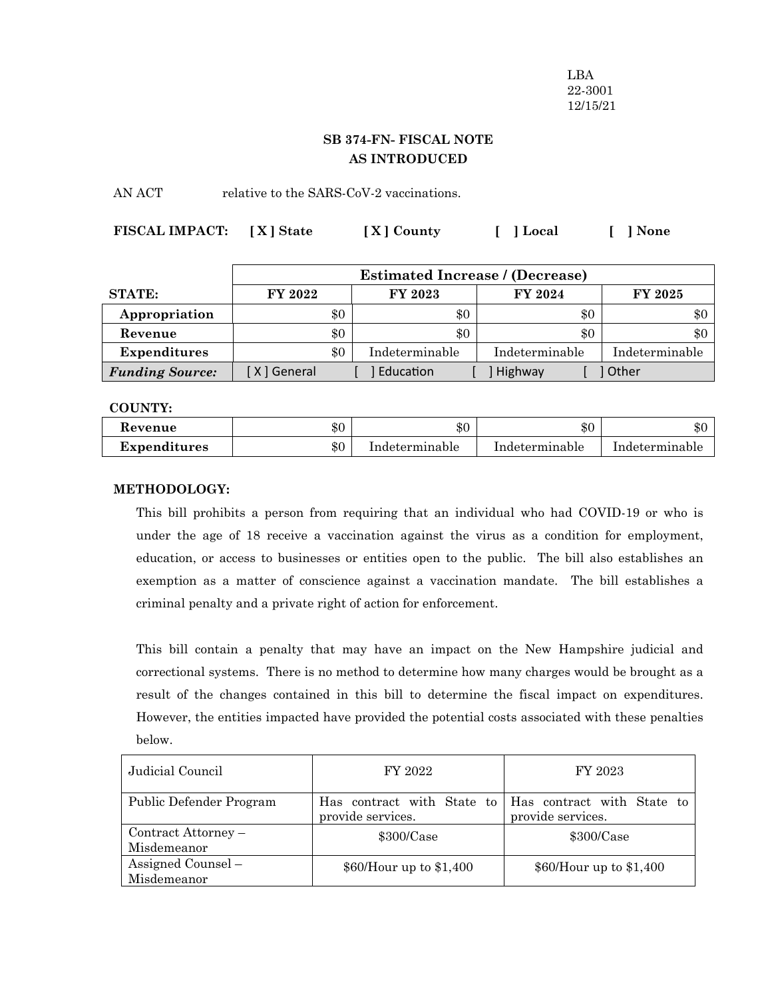LBA 22-3001 12/15/21

# **SB 374-FN- FISCAL NOTE AS INTRODUCED**

AN ACT relative to the SARS-CoV-2 vaccinations.

| FISCAL IMPACT: [X] State | [X] County | [ ] Local | $\left\lceil \cdot \right\rceil$ None |
|--------------------------|------------|-----------|---------------------------------------|
|                          |            |           |                                       |

|                        |             | <b>Estimated Increase / (Decrease)</b> |                |                |                |
|------------------------|-------------|----------------------------------------|----------------|----------------|----------------|
| <b>STATE:</b>          | FY 2022     |                                        | FY 2023        | <b>FY 2024</b> | <b>FY 2025</b> |
| Appropriation          | \$0         |                                        | \$0            | $\$0$          | $\$0$          |
| Revenue                | \$0         |                                        | \$0            | \$0            | $\$0$          |
| <b>Expenditures</b>    | \$0         |                                        | Indeterminable | Indeterminable | Indeterminable |
| <b>Funding Source:</b> | X ] General |                                        | Education      | Highway        | Other          |

**COUNTY:**

| Revenue      | \$0   | \$0            | \$0            | $\triangle$ r<br>æч. |
|--------------|-------|----------------|----------------|----------------------|
| Expenditures | $\$0$ | Indeterminable | Indeterminable | Indeterminable       |

## **METHODOLOGY:**

This bill prohibits a person from requiring that an individual who had COVID-19 or who is under the age of 18 receive a vaccination against the virus as a condition for employment, education, or access to businesses or entities open to the public. The bill also establishes an exemption as a matter of conscience against a vaccination mandate. The bill establishes a criminal penalty and a private right of action for enforcement.

This bill contain a penalty that may have an impact on the New Hampshire judicial and correctional systems. There is no method to determine how many charges would be brought as a result of the changes contained in this bill to determine the fiscal impact on expenditures. However, the entities impacted have provided the potential costs associated with these penalties below.

| Judicial Council                   | FY 2022                                         | FY 2023                                         |
|------------------------------------|-------------------------------------------------|-------------------------------------------------|
| Public Defender Program            | Has contract with State to<br>provide services. | Has contract with State to<br>provide services. |
| Contract Attorney –<br>Misdemeanor | $$300/C$ ase                                    | \$300/Case                                      |
| Assigned Counsel -<br>Misdemeanor  | $$60/H$ our up to $$1,400$                      |                                                 |